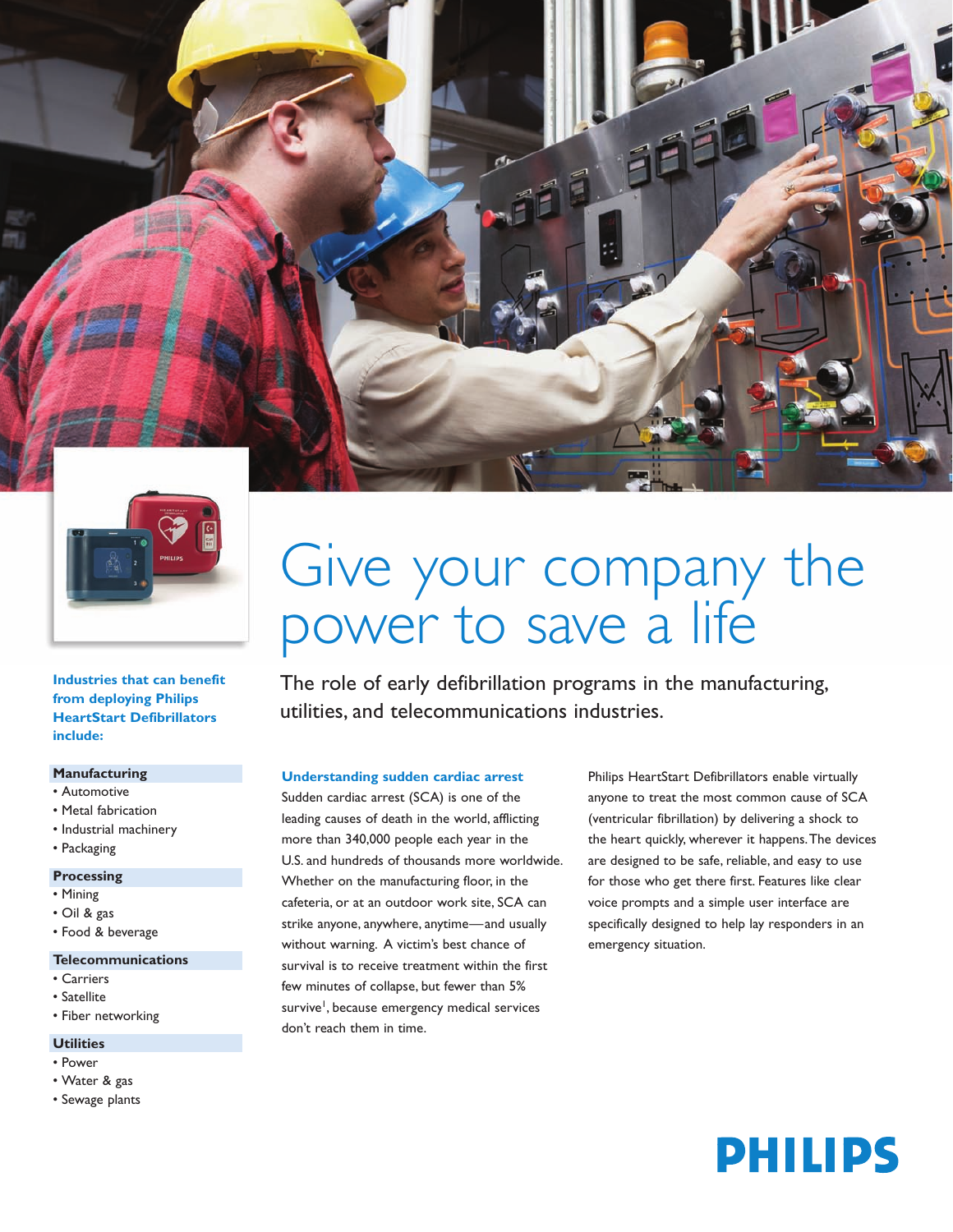



**Industries that can benefit from deploying Philips HeartStart Defibrillators include:**

# **Manufacturing**

- Automotive
- Metal fabrication
- Industrial machinery
- Packaging

### **Processing**

- Mining
- Oil & gas
- Food & beverage

### **Telecommunications**

- Carriers
- Satellite
- Fiber networking

### **Utilities**

- Power
- Water & gas
- Sewage plants

# Give your company the power to save a life

The role of early defibrillation programs in the manufacturing, utilities, and telecommunications industries.

### **Understanding sudden cardiac arrest**

Sudden cardiac arrest (SCA) is one of the leading causes of death in the world, afflicting more than 340,000 people each year in the U.S. and hundreds of thousands more worldwide. Whether on the manufacturing floor, in the cafeteria, or at an outdoor work site, SCA can strike anyone, anywhere, anytime—and usually without warning. A victim's best chance of survival is to receive treatment within the first few minutes of collapse, but fewer than 5% survive<sup>1</sup>, because emergency medical services don't reach them in time.

Philips HeartStart Defibrillators enable virtually anyone to treat the most common cause of SCA (ventricular fibrillation) by delivering a shock to the heart quickly, wherever it happens.The devices are designed to be safe, reliable, and easy to use for those who get there first. Features like clear voice prompts and a simple user interface are specifically designed to help lay responders in an emergency situation.

# **PHILIPS**